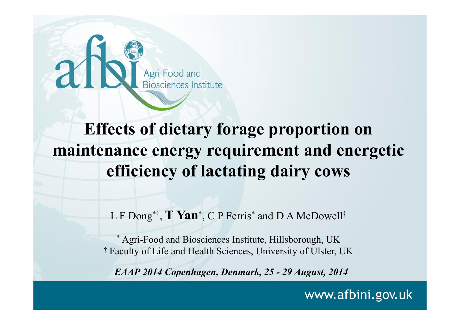

#### **Effects of dietary forage proportion on maintenance energy requirement and energetic efficiency of lactating dairy cows**

L F Dong<sup>\*†</sup>, **T Yan**\*, C P Ferris<sup>\*</sup> and D A McDowell<sup>†</sup>

\* Agri-Food and Biosciences Institute, Hillsborough, UK † Faculty of Life and Health Sciences, University of Ulster, UK

*EAAP 2014 Copenhagen, Denmark, 25 - 29 August, 2014*

www.afbini.gov.uk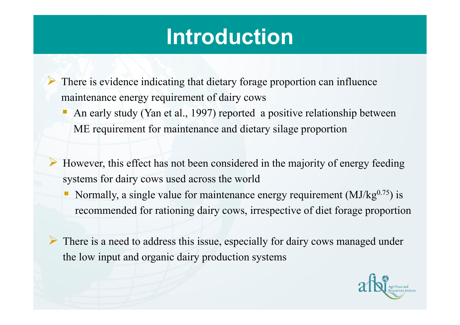#### **Introduction**

 There is evidence indicating that dietary forage proportion can influence maintenance energy requirement of dairy cows

- An early study (Yan et al., 1997) reported a positive relationship between ME requirement for maintenance and dietary silage proportion
- However, this effect has not been considered in the majority of energy feeding systems for dairy cows used across the world
	- Ц Normally, a single value for maintenance energy requirement  $(MJ/kg^{0.75})$  is recommended for rationing dairy cows, irrespective of diet forage proportion
- There is a need to address this issue, especially for dairy cows managed under the low input and organic dairy production systems

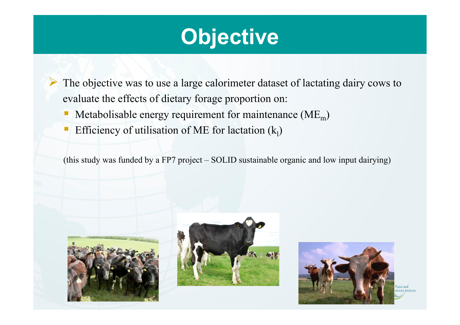#### **Objective**

 The objective was to use a large calorimeter dataset of lactating dairy cows to evaluate the effects of dietary forage proportion on:

- $\mathbb{R}^n$ Metabolisable energy requirement for maintenance  $(ME_m)$
- T. Efficiency of utilisation of ME for lactation  $(k_1)$

(this study was funded by a FP7 project – SOLID sustainable organic and low input dairying)



 $\blacktriangleright$ 





Food and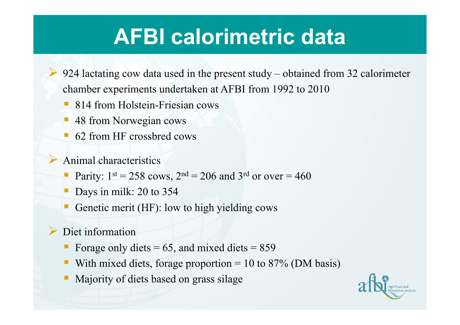#### **AFBI calorimetric data**

- $\triangleright$  924 lactating cow data used in the present study obtained from 32 calorimeter chamber experiments undertaken at AFBI from 1992 to 2010
	- F 814 from Holstein-Friesian cows
	- Π 48 from Norwegian cows
	- 62 from HF crossbred cows
	- Animal characteristics
		- П Parity:  $1^{st} = 258$  cows,  $2^{nd} = 206$  and  $3^{rd}$  or over  $= 460$
		- F Days in milk: 20 to 354
		- F Genetic merit (HF): low to high yielding cows
- $\blacktriangleright$ Diet information

 $\blacktriangleright$ 

- Forage only diets  $= 65$ , and mixed diets  $= 859$
- П With mixed diets, forage proportion  $= 10$  to 87% (DM basis)
- Majority of diets based on grass silage

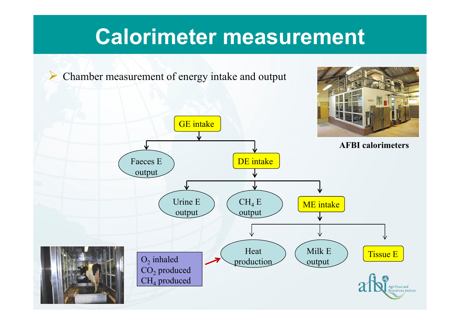#### **Calorimeter measurement**

Chamber measurement of energy intake and output

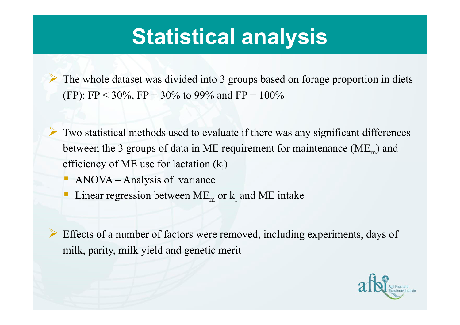#### **Statistical analysis**

 The whole dataset was divided into 3 groups based on forage proportion in diets (FP): FP < 30%, FP = 30% to 99% and FP =  $100\%$ 

 Two statistical methods used to evaluate if there was any significant differences between the 3 groups of data in ME requirement for maintenance ( $ME<sub>m</sub>$ ) and efficiency of ME use for lactation  $(k_1)$ 

Π ANOVA – Analysis of variance

 $\blacktriangleright$ 

F **Linear regression between ME<sub>m</sub> or**  $k_1$  **and ME intake** 

 $\blacktriangleright$  Effects of a number of factors were removed, including experiments, days of milk, parity, milk yield and genetic merit

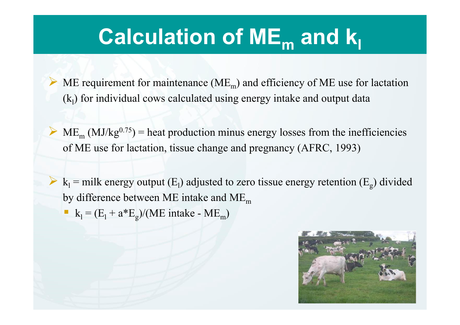### **Calculation of ME m and kl**

 $\triangleright$  ME requirement for maintenance (ME<sub>m</sub>) and efficiency of ME use for lactation  $(k<sub>1</sub>)$  for individual cows calculated using energy intake and output data

 $\blacktriangleright$  $M_{\rm m}$  (MJ/kg<sup>0.75</sup>) = heat production minus energy losses from the inefficiencies of ME use for lactation, tissue change and pregnancy (AFRC, 1993)

 $k_1$  = milk energy output (E<sub>1</sub>) adjusted to zero tissue energy retention (E<sub>g</sub>) divided by difference between ME intake and  $ME_{m}$ 

 $k_1 = (E_1 + a*E_g)/(ME)$  intake - ME<sub>m</sub>)

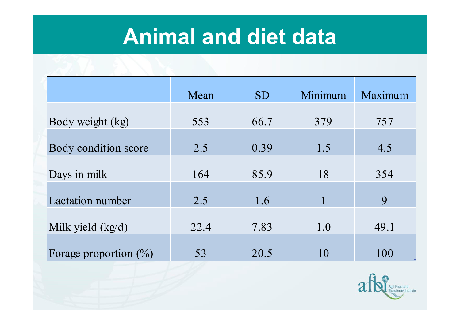#### **Animal and diet data**

|                          | Mean | <b>SD</b> | Minimum      | Maximum |
|--------------------------|------|-----------|--------------|---------|
| Body weight (kg)         | 553  | 66.7      | 379          | 757     |
| Body condition score     | 2.5  | 0.39      | 1.5          | 4.5     |
| Days in milk             | 164  | 85.9      | 18           | 354     |
| <b>Lactation number</b>  | 2.5  | 1.6       | $\mathbf{1}$ | 9       |
| Milk yield $(kg/d)$      | 22.4 | 7.83      | 1.0          | 49.1    |
| Forage proportion $(\%)$ | 53   | 20.5      | 10           | 100     |

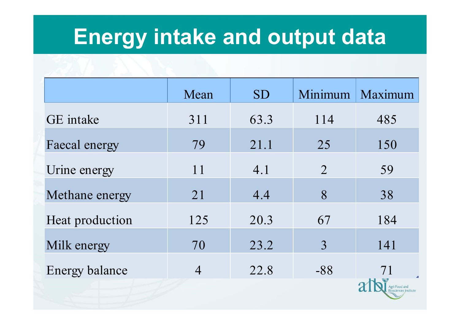#### **Energy intake and output data**

|                       | Mean           | <b>SD</b> | Minimum        | Maximum       |
|-----------------------|----------------|-----------|----------------|---------------|
| GE intake             | 311            | 63.3      | 114            | 485           |
| Faecal energy         | 79             | 21.1      | 25             | 150           |
| Urine energy          | 11             | 4.1       | $\overline{2}$ | 59            |
| Methane energy        | 21             | 4.4       | 8              | 38            |
| Heat production       | 125            | 20.3      | 67             | 184           |
| Milk energy           | 70             | 23.2      | 3              | 141           |
| <b>Energy balance</b> | $\overline{4}$ | 22.8      | $-88$          | 71            |
|                       |                |           |                | Agri-Food and |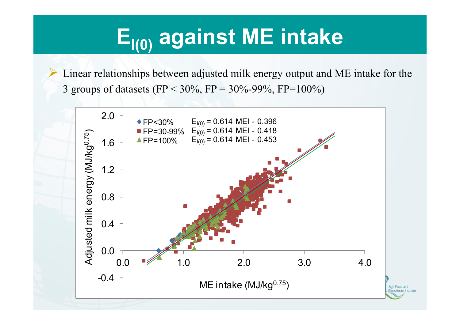## **El(0) against ME intake**

 Linear relationships between adjusted milk energy output and ME intake for the 3 groups of datasets (FP <  $30\%$ , FP =  $30\%$ -99%, FP= $100\%$ )

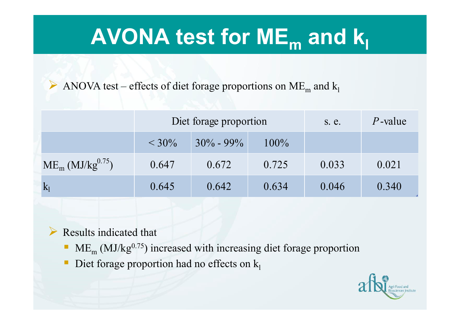## **AVONA test for ME m and kl**

ANOVA test – effects of diet forage proportions on ME<sub>m</sub> and  $k_1$ 

|                                   | Diet forage proportion |               |         | s. e. | $P$ -value |
|-----------------------------------|------------------------|---------------|---------|-------|------------|
|                                   | $< 30\%$               | $30\% - 99\%$ | $100\%$ |       |            |
| $ME_{m}$ (MJ/kg <sup>0.75</sup> ) | 0.647                  | 0.672         | 0.725   | 0.033 | 0.021      |
| $k_1$                             | 0.645                  | 0.642         | 0.634   | 0.046 | 0.340      |

- $\triangleright$  Results indicated that
	- $\blacksquare$  ME<sub>m</sub> (MJ/kg<sup>0.75</sup>) increased with increasing diet forage proportion
	- $\Box$ Diet forage proportion had no effects on  $k_1$

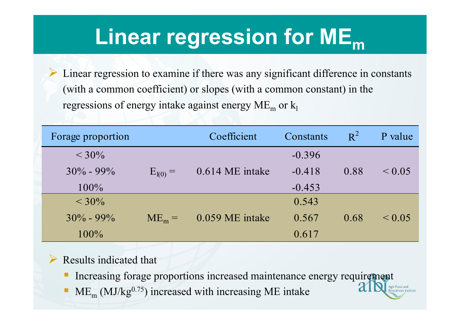#### **Linear regression for ME m**

 $\blacktriangleright$  Linear regression to examine if there was any significant difference in constants (with a common coefficient) or slopes (with a common constant) in the regressions of energy intake against energy  $\rm ME_{m}$  or  $\rm k_{l}$ 

| Forage proportion |              | Coefficient       | Constants | $R^2$ | P value     |
|-------------------|--------------|-------------------|-----------|-------|-------------|
| $<$ 30%           |              |                   | $-0.396$  |       |             |
| $30\% - 99\%$     | $E_{I(0)} =$ | $0.614$ ME intake | $-0.418$  | 0.88  | $\leq 0.05$ |
| $100\%$           |              |                   | $-0.453$  |       |             |
| $< 30\%$          |              |                   | 0.543     |       |             |
| $30\% - 99\%$     | $ME_m =$     | 0.059 ME intake   | 0.567     | 0.68  | $\leq 0.05$ |
| $100\%$           |              |                   | 0.617     |       |             |

#### $\blacktriangleright$ Results indicated that

- Increasing forage proportions increased maintenance energy requirement
- П  $\blacksquare$  ME<sub>m</sub> (MJ/kg<sup>0.75</sup>) increased with increasing ME intake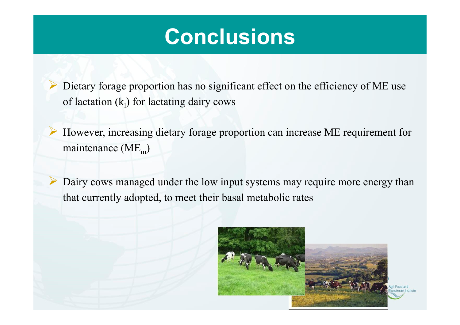#### **Conclusions**

 Dietary forage proportion has no significant effect on the efficiency of ME use of lactation  $(k_1)$  for lactating dairy cows

 $\blacktriangleright$  However, increasing dietary forage proportion can increase ME requirement for maintenance  $(ME_m)$ 

 Dairy cows managed under the low input systems may require more energy than that currently adopted, to meet their basal metabolic rates